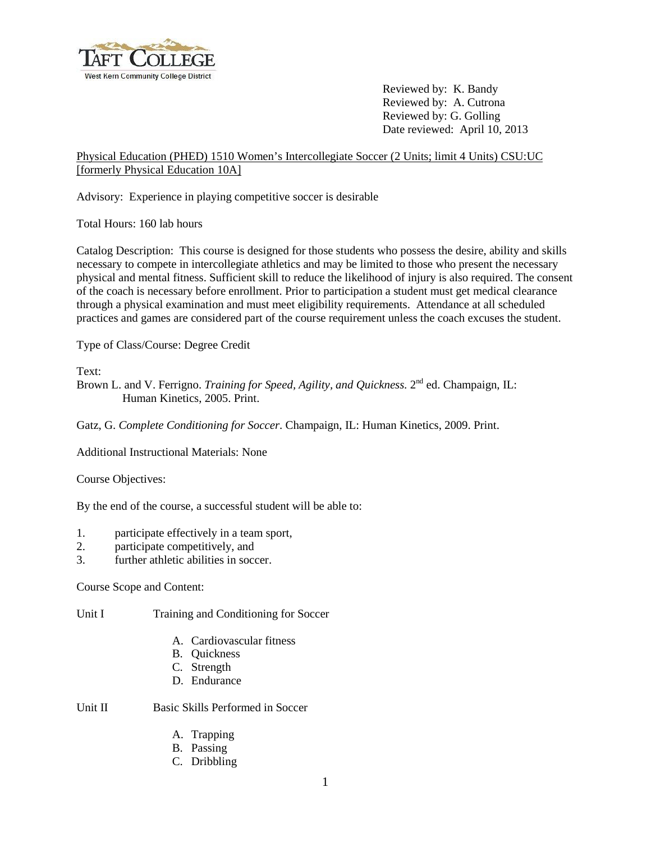

Reviewed by: K. Bandy Reviewed by: A. Cutrona Reviewed by: G. Golling Date reviewed: April 10, 2013

## Physical Education (PHED) 1510 Women's Intercollegiate Soccer (2 Units; limit 4 Units) CSU:UC [formerly Physical Education 10A]

Advisory: Experience in playing competitive soccer is desirable

Total Hours: 160 lab hours

Catalog Description: This course is designed for those students who possess the desire, ability and skills necessary to compete in intercollegiate athletics and may be limited to those who present the necessary physical and mental fitness. Sufficient skill to reduce the likelihood of injury is also required. The consent of the coach is necessary before enrollment. Prior to participation a student must get medical clearance through a physical examination and must meet eligibility requirements. Attendance at all scheduled practices and games are considered part of the course requirement unless the coach excuses the student.

Type of Class/Course: Degree Credit

Text:

Brown L. and V. Ferrigno. *Training for Speed, Agility, and Quickness*. 2<sup>nd</sup> ed. Champaign, IL: Human Kinetics, 2005. Print.

Gatz, G. *Complete Conditioning for Soccer*. Champaign, IL: Human Kinetics, 2009. Print.

Additional Instructional Materials: None

Course Objectives:

By the end of the course, a successful student will be able to:

- 1. participate effectively in a team sport,
- 2. participate competitively, and
- 3. further athletic abilities in soccer.

Course Scope and Content:

Unit I Training and Conditioning for Soccer

- A. Cardiovascular fitness
- B. Quickness
- C. Strength
- D. Endurance

Unit II Basic Skills Performed in Soccer

- A. Trapping
- B. Passing
- C. Dribbling